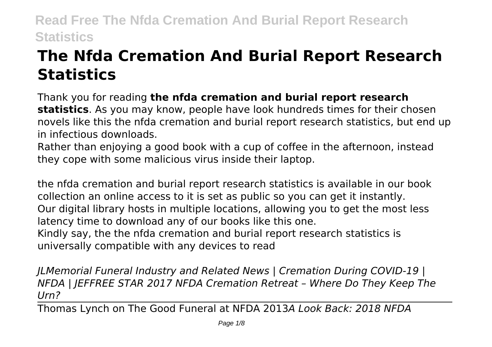# **The Nfda Cremation And Burial Report Research Statistics**

Thank you for reading **the nfda cremation and burial report research statistics**. As you may know, people have look hundreds times for their chosen novels like this the nfda cremation and burial report research statistics, but end up in infectious downloads.

Rather than enjoying a good book with a cup of coffee in the afternoon, instead they cope with some malicious virus inside their laptop.

the nfda cremation and burial report research statistics is available in our book collection an online access to it is set as public so you can get it instantly. Our digital library hosts in multiple locations, allowing you to get the most less latency time to download any of our books like this one. Kindly say, the the nfda cremation and burial report research statistics is universally compatible with any devices to read

*JLMemorial Funeral Industry and Related News | Cremation During COVID-19 | NFDA | JEFFREE STAR 2017 NFDA Cremation Retreat – Where Do They Keep The Urn?*

Thomas Lynch on The Good Funeral at NFDA 2013*A Look Back: 2018 NFDA*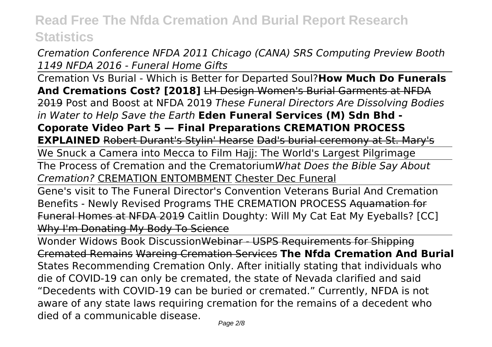*Cremation Conference NFDA 2011 Chicago (CANA) SRS Computing Preview Booth 1149 NFDA 2016 - Funeral Home Gifts*

Cremation Vs Burial - Which is Better for Departed Soul?**How Much Do Funerals And Cremations Cost? [2018]** LH Design Women's Burial Garments at NFDA 2019 Post and Boost at NFDA 2019 *These Funeral Directors Are Dissolving Bodies in Water to Help Save the Earth* **Eden Funeral Services (M) Sdn Bhd - Coporate Video Part 5 — Final Preparations CREMATION PROCESS EXPLAINED** Robert Durant's Stylin' Hearse Dad's burial ceremony at St. Mary's We Snuck a Camera into Mecca to Film Hajj: The World's Largest Pilgrimage

The Process of Cremation and the Crematorium*What Does the Bible Say About Cremation?* CREMATION ENTOMBMENT Chester Dec Funeral

Gene's visit to The Funeral Director's Convention Veterans Burial And Cremation Benefits - Newly Revised Programs THE CREMATION PROCESS Aquamation for Funeral Homes at NFDA 2019 Caitlin Doughty: Will My Cat Eat My Eyeballs? [CC] Why I'm Donating My Body To Science

Wonder Widows Book DiscussionWebinar - USPS Requirements for Shipping Cremated Remains Wareing Cremation Services **The Nfda Cremation And Burial** States Recommending Cremation Only. After initially stating that individuals who die of COVID-19 can only be cremated, the state of Nevada clarified and said "Decedents with COVID-19 can be buried or cremated." Currently, NFDA is not aware of any state laws requiring cremation for the remains of a decedent who died of a communicable disease.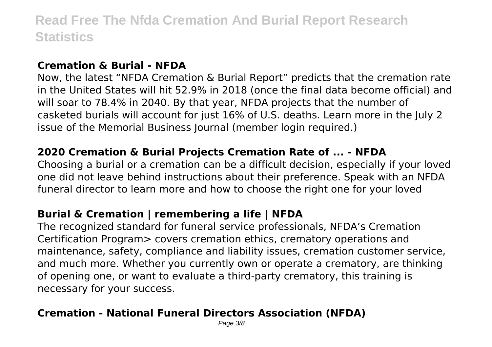#### **Cremation & Burial - NFDA**

Now, the latest "NFDA Cremation & Burial Report" predicts that the cremation rate in the United States will hit 52.9% in 2018 (once the final data become official) and will soar to 78.4% in 2040. By that year, NFDA projects that the number of casketed burials will account for just 16% of U.S. deaths. Learn more in the July 2 issue of the Memorial Business Journal (member login required.)

### **2020 Cremation & Burial Projects Cremation Rate of ... - NFDA**

Choosing a burial or a cremation can be a difficult decision, especially if your loved one did not leave behind instructions about their preference. Speak with an NFDA funeral director to learn more and how to choose the right one for your loved

### **Burial & Cremation | remembering a life | NFDA**

The recognized standard for funeral service professionals, NFDA's Cremation Certification Program> covers cremation ethics, crematory operations and maintenance, safety, compliance and liability issues, cremation customer service, and much more. Whether you currently own or operate a crematory, are thinking of opening one, or want to evaluate a third-party crematory, this training is necessary for your success.

# **Cremation - National Funeral Directors Association (NFDA)**

Page 3/8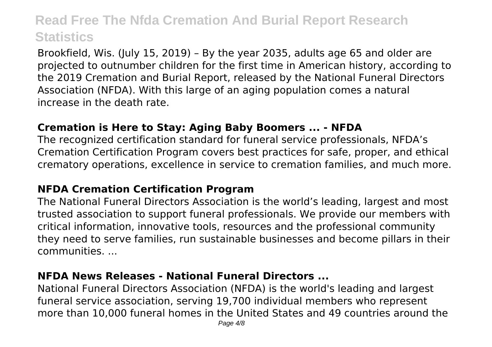Brookfield, Wis. (July 15, 2019) – By the year 2035, adults age 65 and older are projected to outnumber children for the first time in American history, according to the 2019 Cremation and Burial Report, released by the National Funeral Directors Association (NFDA). With this large of an aging population comes a natural increase in the death rate.

#### **Cremation is Here to Stay: Aging Baby Boomers ... - NFDA**

The recognized certification standard for funeral service professionals, NFDA's Cremation Certification Program covers best practices for safe, proper, and ethical crematory operations, excellence in service to cremation families, and much more.

#### **NFDA Cremation Certification Program**

The National Funeral Directors Association is the world's leading, largest and most trusted association to support funeral professionals. We provide our members with critical information, innovative tools, resources and the professional community they need to serve families, run sustainable businesses and become pillars in their communities. ...

#### **NFDA News Releases - National Funeral Directors ...**

National Funeral Directors Association (NFDA) is the world's leading and largest funeral service association, serving 19,700 individual members who represent more than 10,000 funeral homes in the United States and 49 countries around the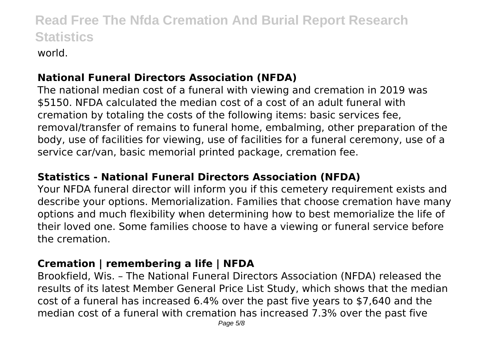### **National Funeral Directors Association (NFDA)**

The national median cost of a funeral with viewing and cremation in 2019 was \$5150. NFDA calculated the median cost of a cost of an adult funeral with cremation by totaling the costs of the following items: basic services fee, removal/transfer of remains to funeral home, embalming, other preparation of the body, use of facilities for viewing, use of facilities for a funeral ceremony, use of a service car/van, basic memorial printed package, cremation fee.

### **Statistics - National Funeral Directors Association (NFDA)**

Your NFDA funeral director will inform you if this cemetery requirement exists and describe your options. Memorialization. Families that choose cremation have many options and much flexibility when determining how to best memorialize the life of their loved one. Some families choose to have a viewing or funeral service before the cremation.

# **Cremation | remembering a life | NFDA**

Brookfield, Wis. – The National Funeral Directors Association (NFDA) released the results of its latest Member General Price List Study, which shows that the median cost of a funeral has increased 6.4% over the past five years to \$7,640 and the median cost of a funeral with cremation has increased 7.3% over the past five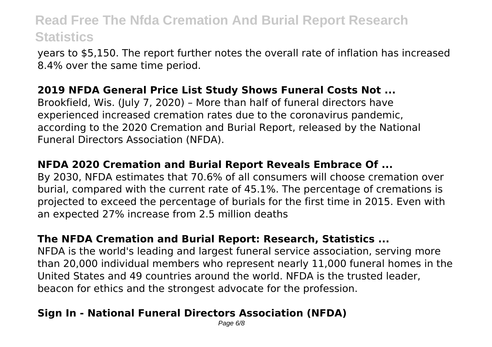years to \$5,150. The report further notes the overall rate of inflation has increased 8.4% over the same time period.

### **2019 NFDA General Price List Study Shows Funeral Costs Not ...**

Brookfield, Wis. (July 7, 2020) – More than half of funeral directors have experienced increased cremation rates due to the coronavirus pandemic, according to the 2020 Cremation and Burial Report, released by the National Funeral Directors Association (NFDA).

### **NFDA 2020 Cremation and Burial Report Reveals Embrace Of ...**

By 2030, NFDA estimates that 70.6% of all consumers will choose cremation over burial, compared with the current rate of 45.1%. The percentage of cremations is projected to exceed the percentage of burials for the first time in 2015. Even with an expected 27% increase from 2.5 million deaths

### **The NFDA Cremation and Burial Report: Research, Statistics ...**

NFDA is the world's leading and largest funeral service association, serving more than 20,000 individual members who represent nearly 11,000 funeral homes in the United States and 49 countries around the world. NFDA is the trusted leader, beacon for ethics and the strongest advocate for the profession.

# **Sign In - National Funeral Directors Association (NFDA)**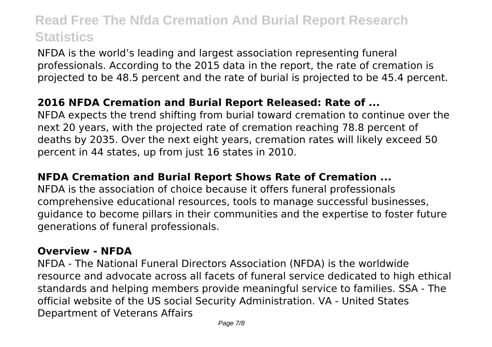NFDA is the world's leading and largest association representing funeral professionals. According to the 2015 data in the report, the rate of cremation is projected to be 48.5 percent and the rate of burial is projected to be 45.4 percent.

#### **2016 NFDA Cremation and Burial Report Released: Rate of ...**

NFDA expects the trend shifting from burial toward cremation to continue over the next 20 years, with the projected rate of cremation reaching 78.8 percent of deaths by 2035. Over the next eight years, cremation rates will likely exceed 50 percent in 44 states, up from just 16 states in 2010.

#### **NFDA Cremation and Burial Report Shows Rate of Cremation ...**

NFDA is the association of choice because it offers funeral professionals comprehensive educational resources, tools to manage successful businesses, guidance to become pillars in their communities and the expertise to foster future generations of funeral professionals.

#### **Overview - NFDA**

NFDA - The National Funeral Directors Association (NFDA) is the worldwide resource and advocate across all facets of funeral service dedicated to high ethical standards and helping members provide meaningful service to families. SSA - The official website of the US social Security Administration. VA - United States Department of Veterans Affairs